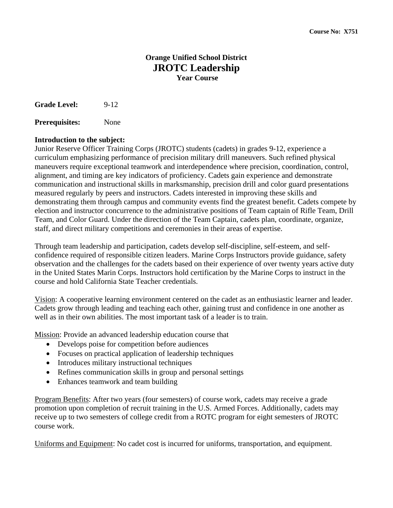# **Orange Unified School District JROTC Leadership Year Course**

**Grade Level:** 9-12

**Prerequisites:** None

#### **Introduction to the subject:**

Junior Reserve Officer Training Corps (JROTC) students (cadets) in grades 9-12, experience a curriculum emphasizing performance of precision military drill maneuvers. Such refined physical maneuvers require exceptional teamwork and interdependence where precision, coordination, control, alignment, and timing are key indicators of proficiency. Cadets gain experience and demonstrate communication and instructional skills in marksmanship, precision drill and color guard presentations measured regularly by peers and instructors. Cadets interested in improving these skills and demonstrating them through campus and community events find the greatest benefit. Cadets compete by election and instructor concurrence to the administrative positions of Team captain of Rifle Team, Drill Team, and Color Guard. Under the direction of the Team Captain, cadets plan, coordinate, organize, staff, and direct military competitions and ceremonies in their areas of expertise.

Through team leadership and participation, cadets develop self-discipline, self-esteem, and selfconfidence required of responsible citizen leaders. Marine Corps Instructors provide guidance, safety observation and the challenges for the cadets based on their experience of over twenty years active duty in the United States Marin Corps. Instructors hold certification by the Marine Corps to instruct in the course and hold California State Teacher credentials.

Vision: A cooperative learning environment centered on the cadet as an enthusiastic learner and leader. Cadets grow through leading and teaching each other, gaining trust and confidence in one another as well as in their own abilities. The most important task of a leader is to train.

Mission: Provide an advanced leadership education course that

- Develops poise for competition before audiences
- Focuses on practical application of leadership techniques
- Introduces military instructional techniques
- Refines communication skills in group and personal settings
- Enhances teamwork and team building

Program Benefits: After two years (four semesters) of course work, cadets may receive a grade promotion upon completion of recruit training in the U.S. Armed Forces. Additionally, cadets may receive up to two semesters of college credit from a ROTC program for eight semesters of JROTC course work.

Uniforms and Equipment: No cadet cost is incurred for uniforms, transportation, and equipment.